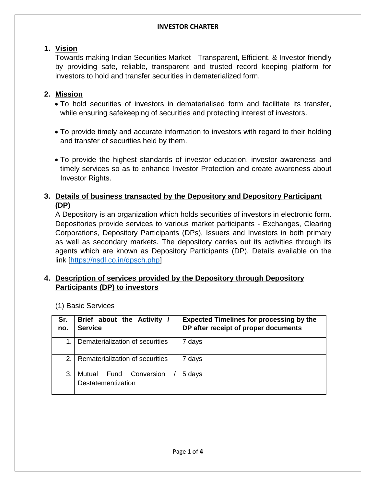## **1. Vision**

Towards making Indian Securities Market - Transparent, Efficient, & Investor friendly by providing safe, reliable, transparent and trusted record keeping platform for investors to hold and transfer securities in dematerialized form.

## **2. Mission**

- To hold securities of investors in dematerialised form and facilitate its transfer, while ensuring safekeeping of securities and protecting interest of investors.
- To provide timely and accurate information to investors with regard to their holding and transfer of securities held by them.
- To provide the highest standards of investor education, investor awareness and timely services so as to enhance Investor Protection and create awareness about Investor Rights.

## **3. Details of business transacted by the Depository and Depository Participant (DP)**

A Depository is an organization which holds securities of investors in electronic form. Depositories provide services to various market participants - Exchanges, Clearing Corporations, Depository Participants (DPs), Issuers and Investors in both primary as well as secondary markets. The depository carries out its activities through its agents which are known as Depository Participants (DP). Details available on the link [\[https://nsdl.co.in/dpsch.php\]](https://nsdl.co.in/dpsch.php)

## **4. Description of services provided by the Depository through Depository Participants (DP) to investors**

(1) Basic Services

| Sr.<br>no.     | Brief about the Activity /<br><b>Service</b>       | <b>Expected Timelines for processing by the</b><br>DP after receipt of proper documents |
|----------------|----------------------------------------------------|-----------------------------------------------------------------------------------------|
|                | Dematerialization of securities                    | 7 days                                                                                  |
| 2 <sub>1</sub> | Rematerialization of securities                    | 7 days                                                                                  |
| 3.             | Mutual<br>Fund<br>Conversion<br>Destatementization | 5 days                                                                                  |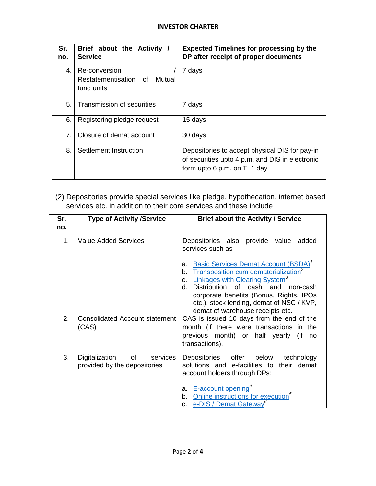| Sr.<br>no.     | Brief about the Activity<br><b>Service</b>                     | <b>Expected Timelines for processing by the</b><br>DP after receipt of proper documents                                          |
|----------------|----------------------------------------------------------------|----------------------------------------------------------------------------------------------------------------------------------|
| $\mathbf{4}$ . | Re-conversion<br>Restatementisation of<br>Mutual<br>fund units | 7 days                                                                                                                           |
| 5.             | Transmission of securities                                     | 7 days                                                                                                                           |
| 6.             | Registering pledge request                                     | 15 days                                                                                                                          |
| 7 <sub>1</sub> | Closure of demat account                                       | 30 days                                                                                                                          |
| 8.             | Settlement Instruction                                         | Depositories to accept physical DIS for pay-in<br>of securities upto 4 p.m. and DIS in electronic<br>form upto 6 p.m. on T+1 day |

(2) Depositories provide special services like pledge, hypothecation, internet based services etc. in addition to their core services and these include

| Sr.<br>no. | <b>Type of Activity /Service</b>                                 | <b>Brief about the Activity / Service</b>                                                                                                                                                                                                                                                                                                                   |
|------------|------------------------------------------------------------------|-------------------------------------------------------------------------------------------------------------------------------------------------------------------------------------------------------------------------------------------------------------------------------------------------------------------------------------------------------------|
| 1.         | <b>Value Added Services</b>                                      | Depositories also provide value<br>added<br>services such as                                                                                                                                                                                                                                                                                                |
|            |                                                                  | <b>Basic Services Demat Account (BSDA)</b> <sup>7</sup><br>a.<br>Transposition cum dematerialization <sup>2</sup><br>b.<br>Linkages with Clearing System <sup>3</sup><br>C.<br>Distribution<br>of cash<br>d.<br>and<br>non-cash<br>corporate benefits (Bonus, Rights, IPOs<br>etc.), stock lending, demat of NSC / KVP,<br>demat of warehouse receipts etc. |
| 2.         | <b>Consolidated Account statement</b><br>(CAS)                   | CAS is issued 10 days from the end of the<br>month (if there were transactions in the<br>previous month) or half yearly<br>(if<br>no<br>transactions).                                                                                                                                                                                                      |
| 3.         | Digitalization<br>of<br>services<br>provided by the depositories | Depositories<br>offer<br>below<br>technology<br>solutions and e-facilities to<br>their demat<br>account holders through DPs:<br>E-account opening <sup>4</sup><br>a.<br>Online instructions for execution <sup>5</sup><br>b.<br>e-DIS / Demat Gateway <sup>6</sup><br>C.                                                                                    |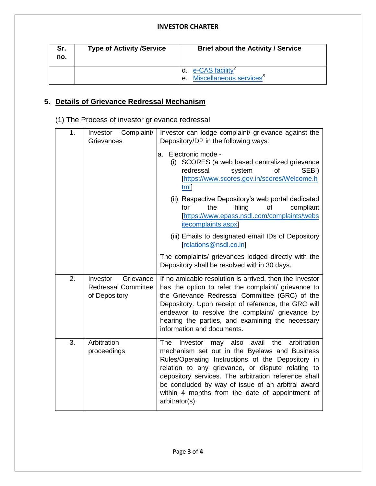#### **INVESTOR CHARTER**

| Sr.<br>no. | <b>Type of Activity /Service</b> | <b>Brief about the Activity / Service</b>                   |
|------------|----------------------------------|-------------------------------------------------------------|
|            |                                  | d. e-CAS facility<br>e. Miscellaneous services <sup>8</sup> |

# **5. Details of Grievance Redressal Mechanism**

(1) The Process of investor grievance redressal

| 1. | Complaint/<br>Investor<br>Grievances                                 | Investor can lodge complaint/ grievance against the<br>Depository/DP in the following ways:                                                                                                                                                                                                                                                                                                          |
|----|----------------------------------------------------------------------|------------------------------------------------------------------------------------------------------------------------------------------------------------------------------------------------------------------------------------------------------------------------------------------------------------------------------------------------------------------------------------------------------|
|    |                                                                      | Electronic mode -<br>a.<br>(i) SCORES (a web based centralized grievance<br>redressal<br>system<br>οf<br>SEBI)<br>[https://www.scores.gov.in/scores/Welcome.h<br>tml                                                                                                                                                                                                                                 |
|    |                                                                      | (ii) Respective Depository's web portal dedicated<br>the<br>filing<br>compliant<br>for<br>οf<br>[https://www.epass.nsdl.com/complaints/webs<br><i>itecomplaints.aspx</i>                                                                                                                                                                                                                             |
|    |                                                                      | (iii) Emails to designated email IDs of Depository<br>[relations@nsdl.co.in]                                                                                                                                                                                                                                                                                                                         |
|    |                                                                      | The complaints/ grievances lodged directly with the<br>Depository shall be resolved within 30 days.                                                                                                                                                                                                                                                                                                  |
| 2. | Grievance<br>Investor<br><b>Redressal Committee</b><br>of Depository | If no amicable resolution is arrived, then the Investor<br>has the option to refer the complaint/ grievance to<br>the Grievance Redressal Committee (GRC) of the<br>Depository. Upon receipt of reference, the GRC will<br>endeavor to resolve the complaint/ grievance by<br>hearing the parties, and examining the necessary<br>information and documents.                                         |
| 3. | Arbitration<br>proceedings                                           | may also<br>avail the<br>arbitration<br>The<br>Investor<br>mechanism set out in the Byelaws and Business<br>Rules/Operating Instructions of the Depository in<br>relation to any grievance, or dispute relating to<br>depository services. The arbitration reference shall<br>be concluded by way of issue of an arbitral award<br>within 4 months from the date of appointment of<br>arbitrator(s). |